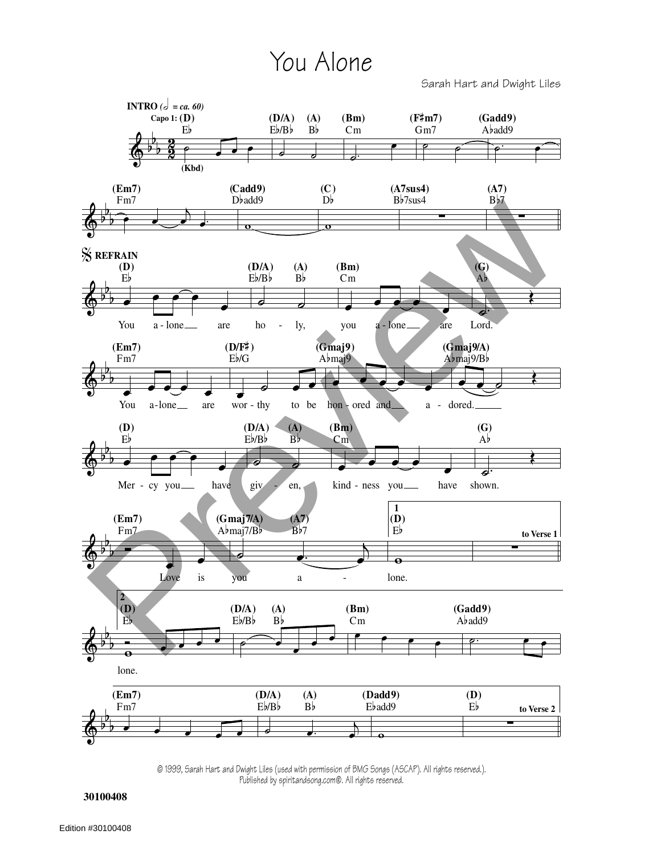## You Alone

Sarah Hart and Dwight Liles



© 1999, Sarah Hart and Dwight Liles (used with permission of BMG Songs (ASCAP). All rights reserved.). Published by spiritandsong.com®. All rights reserved.

**30100408**